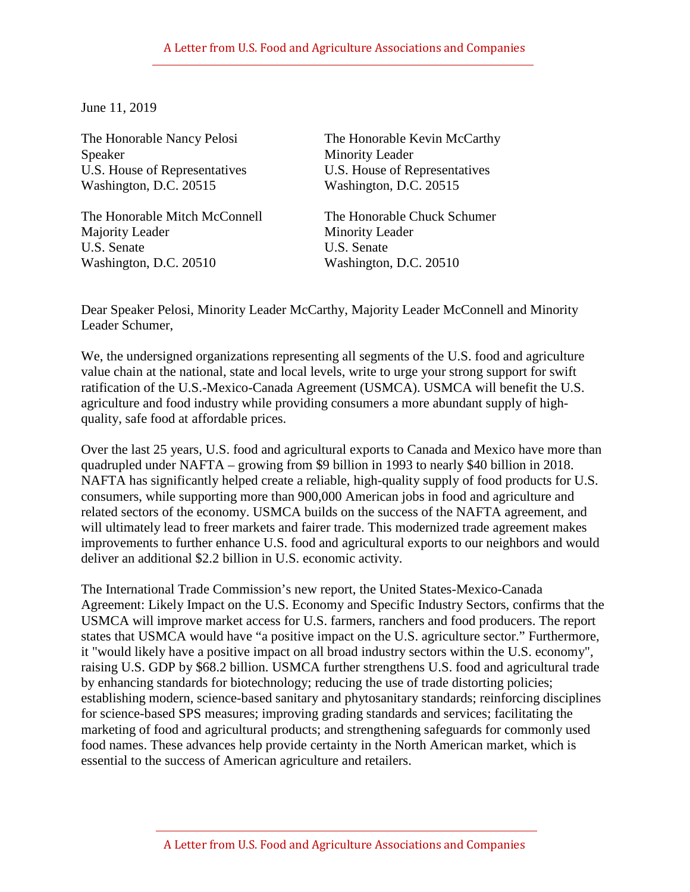## A Letter from U.S. Food and Agriculture Associations and Companies

June 11, 2019

U.S. House of Representatives U.S. House of Representatives<br>Washington, D.C. 20515 Washington, D.C. 20515 Washington, D.C. 20515

The Honorable Mitch McConnell The Honorable Chuck Schumer Majority Leader Minority Leader U.S. Senate U.S. Senate Washington, D.C. 20510 Washington, D.C. 20510

The Honorable Nancy Pelosi The Honorable Kevin McCarthy Speaker Minority Leader<br>
U.S. House of Representatives U.S. House of Representatives

Dear Speaker Pelosi, Minority Leader McCarthy, Majority Leader McConnell and Minority Leader Schumer,

We, the undersigned organizations representing all segments of the U.S. food and agriculture value chain at the national, state and local levels, write to urge your strong support for swift ratification of the U.S.-Mexico-Canada Agreement (USMCA). USMCA will benefit the U.S. agriculture and food industry while providing consumers a more abundant supply of highquality, safe food at affordable prices.

Over the last 25 years, U.S. food and agricultural exports to Canada and Mexico have more than quadrupled under NAFTA – growing from \$9 billion in 1993 to nearly \$40 billion in 2018. NAFTA has significantly helped create a reliable, high-quality supply of food products for U.S. consumers, while supporting more than 900,000 American jobs in food and agriculture and related sectors of the economy. USMCA builds on the success of the NAFTA agreement, and will ultimately lead to freer markets and fairer trade. This modernized trade agreement makes improvements to further enhance U.S. food and agricultural exports to our neighbors and would deliver an additional \$2.2 billion in U.S. economic activity.

The International Trade Commission's new report, the United States-Mexico-Canada Agreement: Likely Impact on the U.S. Economy and Specific Industry Sectors, confirms that the USMCA will improve market access for U.S. farmers, ranchers and food producers. The report states that USMCA would have "a positive impact on the U.S. agriculture sector." Furthermore, it "would likely have a positive impact on all broad industry sectors within the U.S. economy", raising U.S. GDP by \$68.2 billion. USMCA further strengthens U.S. food and agricultural trade by enhancing standards for biotechnology; reducing the use of trade distorting policies; establishing modern, science-based sanitary and phytosanitary standards; reinforcing disciplines for science-based SPS measures; improving grading standards and services; facilitating the marketing of food and agricultural products; and strengthening safeguards for commonly used food names. These advances help provide certainty in the North American market, which is essential to the success of American agriculture and retailers.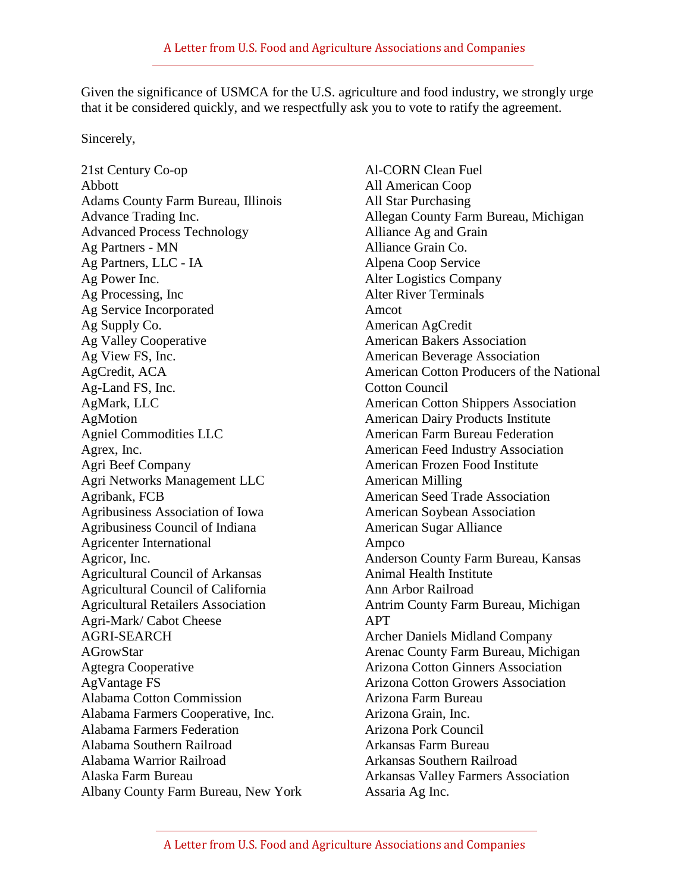Given the significance of USMCA for the U.S. agriculture and food industry, we strongly urge that it be considered quickly, and we respectfully ask you to vote to ratify the agreement.

Sincerely,

21st Century Co-op Abbott Adams County Farm Bureau, Illinois Advance Trading Inc. Advanced Process Technology Ag Partners - MN Ag Partners, LLC - IA Ag Power Inc. Ag Processing, Inc Ag Service Incorporated Ag Supply Co. Ag Valley Cooperative Ag View FS, Inc. AgCredit, ACA Ag-Land FS, Inc. AgMark, LLC **AgMotion** Agniel Commodities LLC Agrex, Inc. Agri Beef Company Agri Networks Management LLC Agribank, FCB Agribusiness Association of Iowa Agribusiness Council of Indiana Agricenter International Agricor, Inc. Agricultural Council of Arkansas Agricultural Council of California Agricultural Retailers Association Agri-Mark/ Cabot Cheese AGRI-SEARCH AGrowStar Agtegra Cooperative AgVantage FS Alabama Cotton Commission Alabama Farmers Cooperative, Inc. Alabama Farmers Federation Alabama Southern Railroad Alabama Warrior Railroad Alaska Farm Bureau Albany County Farm Bureau, New York

Al-CORN Clean Fuel All American Coop All Star Purchasing Allegan County Farm Bureau, Michigan Alliance Ag and Grain Alliance Grain Co. Alpena Coop Service Alter Logistics Company Alter River Terminals Amcot American AgCredit American Bakers Association American Beverage Association American Cotton Producers of the National Cotton Council American Cotton Shippers Association American Dairy Products Institute American Farm Bureau Federation American Feed Industry Association American Frozen Food Institute American Milling American Seed Trade Association American Soybean Association American Sugar Alliance Ampco Anderson County Farm Bureau, Kansas Animal Health Institute Ann Arbor Railroad Antrim County Farm Bureau, Michigan APT Archer Daniels Midland Company Arenac County Farm Bureau, Michigan Arizona Cotton Ginners Association Arizona Cotton Growers Association Arizona Farm Bureau Arizona Grain, Inc. Arizona Pork Council Arkansas Farm Bureau Arkansas Southern Railroad Arkansas Valley Farmers Association Assaria Ag Inc.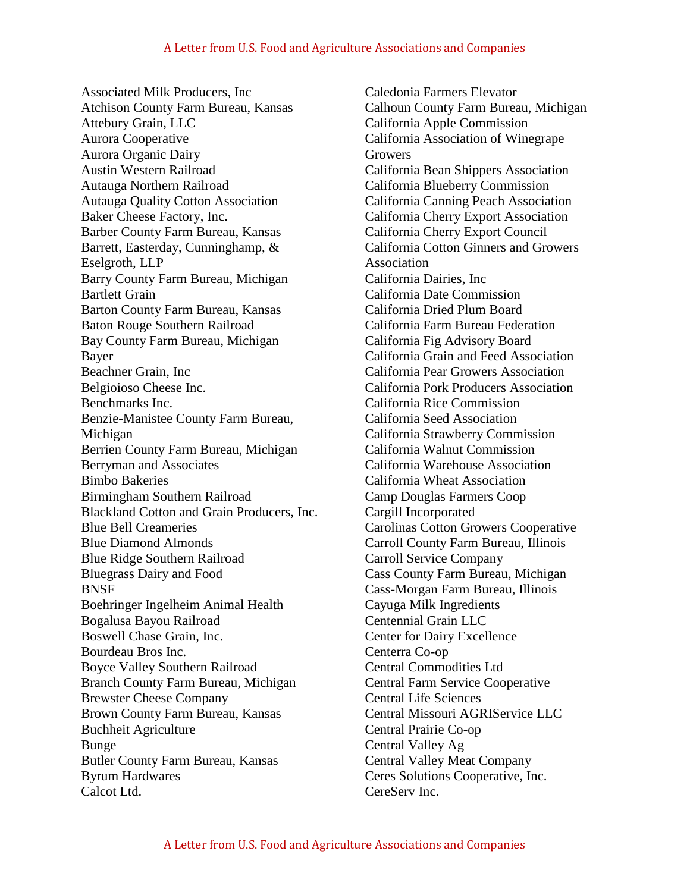Associated Milk Producers, Inc Atchison County Farm Bureau, Kansas Attebury Grain, LLC Aurora Cooperative Aurora Organic Dairy Austin Western Railroad Autauga Northern Railroad Autauga Quality Cotton Association Baker Cheese Factory, Inc. Barber County Farm Bureau, Kansas Barrett, Easterday, Cunninghamp, & Eselgroth, LLP Barry County Farm Bureau, Michigan Bartlett Grain Barton County Farm Bureau, Kansas Baton Rouge Southern Railroad Bay County Farm Bureau, Michigan Bayer Beachner Grain, Inc Belgioioso Cheese Inc. Benchmarks Inc. Benzie-Manistee County Farm Bureau, Michigan Berrien County Farm Bureau, Michigan Berryman and Associates Bimbo Bakeries Birmingham Southern Railroad Blackland Cotton and Grain Producers, Inc. Blue Bell Creameries Blue Diamond Almonds Blue Ridge Southern Railroad Bluegrass Dairy and Food BNSF Boehringer Ingelheim Animal Health Bogalusa Bayou Railroad Boswell Chase Grain, Inc. Bourdeau Bros Inc. Boyce Valley Southern Railroad Branch County Farm Bureau, Michigan Brewster Cheese Company Brown County Farm Bureau, Kansas Buchheit Agriculture Bunge Butler County Farm Bureau, Kansas Byrum Hardwares Calcot Ltd.

Caledonia Farmers Elevator Calhoun County Farm Bureau, Michigan California Apple Commission California Association of Winegrape **Growers** California Bean Shippers Association California Blueberry Commission California Canning Peach Association California Cherry Export Association California Cherry Export Council California Cotton Ginners and Growers Association California Dairies, Inc California Date Commission California Dried Plum Board California Farm Bureau Federation California Fig Advisory Board California Grain and Feed Association California Pear Growers Association California Pork Producers Association California Rice Commission California Seed Association California Strawberry Commission California Walnut Commission California Warehouse Association California Wheat Association Camp Douglas Farmers Coop Cargill Incorporated Carolinas Cotton Growers Cooperative Carroll County Farm Bureau, Illinois Carroll Service Company Cass County Farm Bureau, Michigan Cass-Morgan Farm Bureau, Illinois Cayuga Milk Ingredients Centennial Grain LLC Center for Dairy Excellence Centerra Co-op Central Commodities Ltd Central Farm Service Cooperative Central Life Sciences Central Missouri AGRIService LLC Central Prairie Co-op Central Valley Ag Central Valley Meat Company Ceres Solutions Cooperative, Inc. CereServ Inc.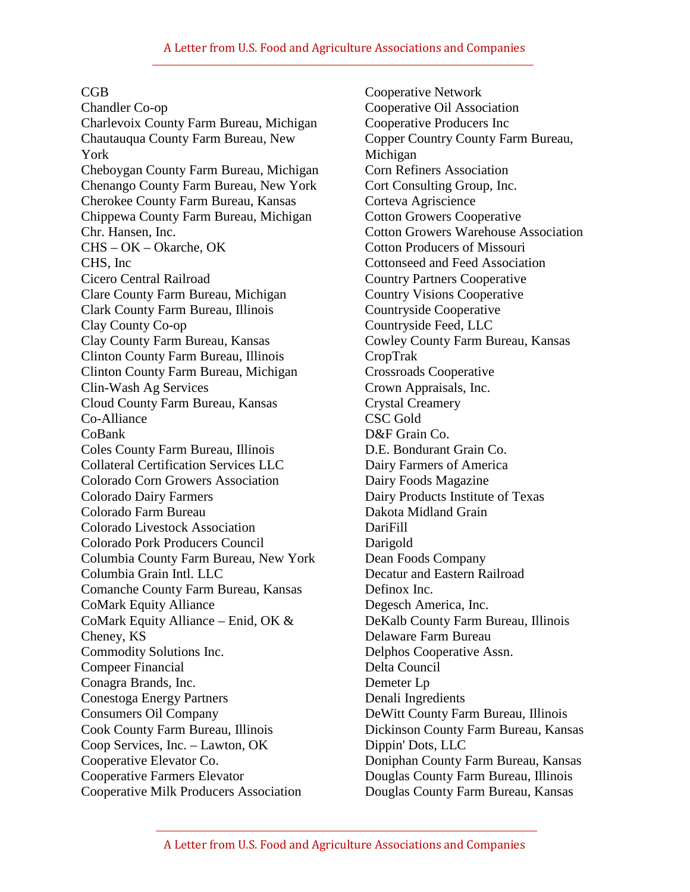## CGB

Chandler Co-op Charlevoix County Farm Bureau, Michigan Chautauqua County Farm Bureau, New York Cheboygan County Farm Bureau, Michigan Chenango County Farm Bureau, New York Cherokee County Farm Bureau, Kansas Chippewa County Farm Bureau, Michigan Chr. Hansen, Inc. CHS – OK – Okarche, OK CHS, Inc Cicero Central Railroad Clare County Farm Bureau, Michigan Clark County Farm Bureau, Illinois Clay County Co-op Clay County Farm Bureau, Kansas Clinton County Farm Bureau, Illinois Clinton County Farm Bureau, Michigan Clin-Wash Ag Services Cloud County Farm Bureau, Kansas Co-Alliance CoBank Coles County Farm Bureau, Illinois Collateral Certification Services LLC Colorado Corn Growers Association Colorado Dairy Farmers Colorado Farm Bureau Colorado Livestock Association Colorado Pork Producers Council Columbia County Farm Bureau, New York Columbia Grain Intl. LLC Comanche County Farm Bureau, Kansas CoMark Equity Alliance CoMark Equity Alliance – Enid, OK & Cheney, KS Commodity Solutions Inc. Compeer Financial Conagra Brands, Inc. Conestoga Energy Partners Consumers Oil Company Cook County Farm Bureau, Illinois Coop Services, Inc. – Lawton, OK Cooperative Elevator Co. Cooperative Farmers Elevator Cooperative Milk Producers Association

Cooperative Network Cooperative Oil Association Cooperative Producers Inc Copper Country County Farm Bureau, Michigan Corn Refiners Association Cort Consulting Group, Inc. Corteva Agriscience Cotton Growers Cooperative Cotton Growers Warehouse Association Cotton Producers of Missouri Cottonseed and Feed Association Country Partners Cooperative Country Visions Cooperative Countryside Cooperative Countryside Feed, LLC Cowley County Farm Bureau, Kansas CropTrak Crossroads Cooperative Crown Appraisals, Inc. Crystal Creamery CSC Gold D&F Grain Co. D.E. Bondurant Grain Co. Dairy Farmers of America Dairy Foods Magazine Dairy Products Institute of Texas Dakota Midland Grain DariFill Darigold Dean Foods Company Decatur and Eastern Railroad Definox Inc. Degesch America, Inc. DeKalb County Farm Bureau, Illinois Delaware Farm Bureau Delphos Cooperative Assn. Delta Council Demeter Lp Denali Ingredients DeWitt County Farm Bureau, Illinois Dickinson County Farm Bureau, Kansas Dippin' Dots, LLC Doniphan County Farm Bureau, Kansas Douglas County Farm Bureau, Illinois Douglas County Farm Bureau, Kansas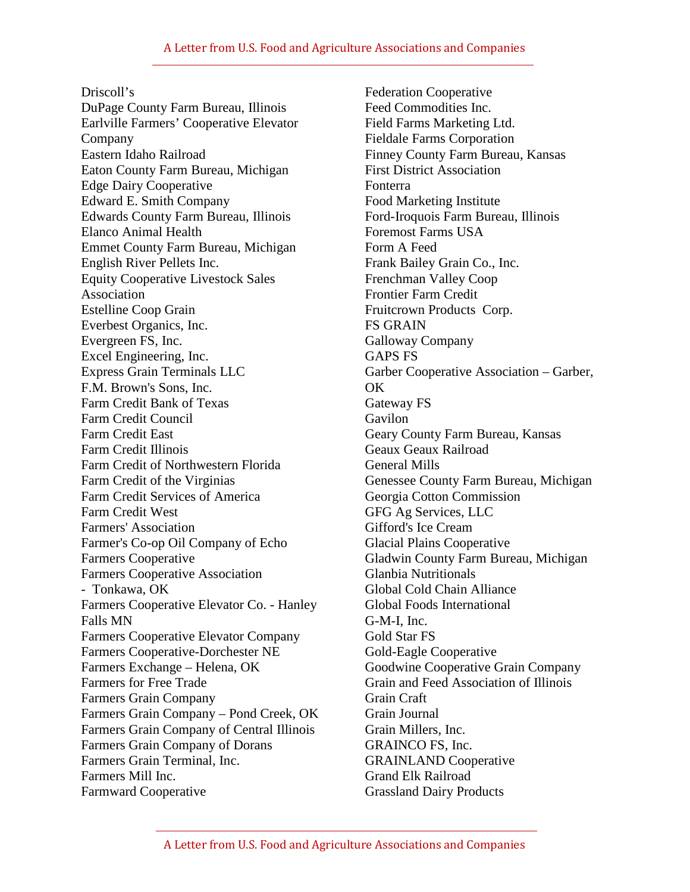Driscoll's DuPage County Farm Bureau, Illinois Earlville Farmers' Cooperative Elevator Company Eastern Idaho Railroad Eaton County Farm Bureau, Michigan Edge Dairy Cooperative Edward E. Smith Company Edwards County Farm Bureau, Illinois Elanco Animal Health Emmet County Farm Bureau, Michigan English River Pellets Inc. Equity Cooperative Livestock Sales Association Estelline Coop Grain Everbest Organics, Inc. Evergreen FS, Inc. Excel Engineering, Inc. Express Grain Terminals LLC F.M. Brown's Sons, Inc. Farm Credit Bank of Texas Farm Credit Council Farm Credit East Farm Credit Illinois Farm Credit of Northwestern Florida Farm Credit of the Virginias Farm Credit Services of America Farm Credit West Farmers' Association Farmer's Co-op Oil Company of Echo Farmers Cooperative Farmers Cooperative Association - Tonkawa, OK Farmers Cooperative Elevator Co. - Hanley Falls MN Farmers Cooperative Elevator Company Farmers Cooperative-Dorchester NE Farmers Exchange – Helena, OK Farmers for Free Trade Farmers Grain Company Farmers Grain Company – Pond Creek, OK Farmers Grain Company of Central Illinois Farmers Grain Company of Dorans Farmers Grain Terminal, Inc. Farmers Mill Inc. Farmward Cooperative

Federation Cooperative Feed Commodities Inc. Field Farms Marketing Ltd. Fieldale Farms Corporation Finney County Farm Bureau, Kansas First District Association Fonterra Food Marketing Institute Ford-Iroquois Farm Bureau, Illinois Foremost Farms USA Form A Feed Frank Bailey Grain Co., Inc. Frenchman Valley Coop Frontier Farm Credit Fruitcrown Products Corp. FS GRAIN Galloway Company GAPS FS Garber Cooperative Association – Garber, OK Gateway FS Gavilon Geary County Farm Bureau, Kansas Geaux Geaux Railroad General Mills Genessee County Farm Bureau, Michigan Georgia Cotton Commission GFG Ag Services, LLC Gifford's Ice Cream Glacial Plains Cooperative Gladwin County Farm Bureau, Michigan Glanbia Nutritionals Global Cold Chain Alliance Global Foods International G-M-I, Inc. Gold Star FS Gold-Eagle Cooperative Goodwine Cooperative Grain Company Grain and Feed Association of Illinois Grain Craft Grain Journal Grain Millers, Inc. GRAINCO FS, Inc. GRAINLAND Cooperative Grand Elk Railroad Grassland Dairy Products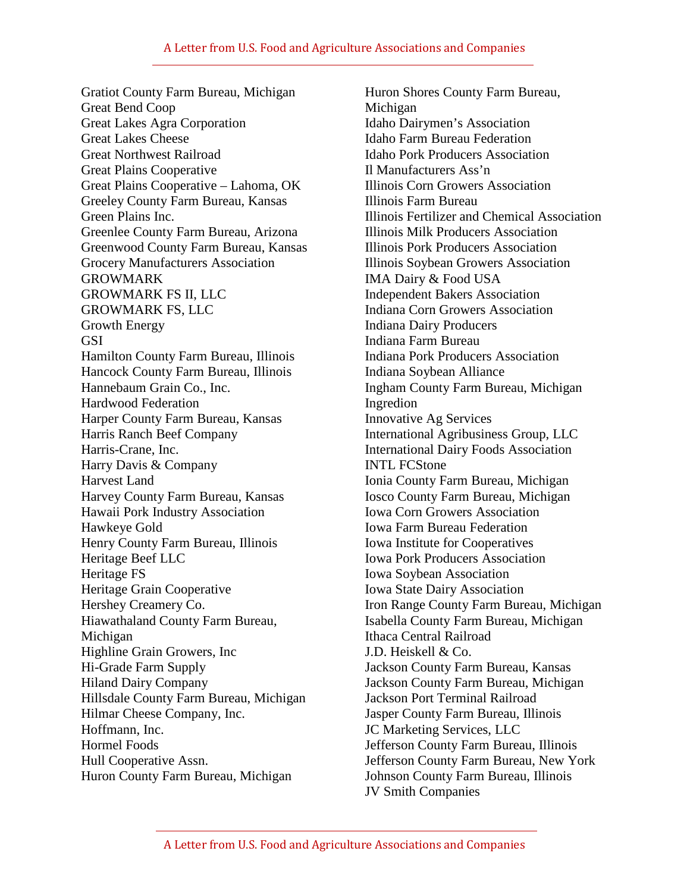Gratiot County Farm Bureau, Michigan Great Bend Coop Great Lakes Agra Corporation Great Lakes Cheese Great Northwest Railroad Great Plains Cooperative Great Plains Cooperative – Lahoma, OK Greeley County Farm Bureau, Kansas Green Plains Inc. Greenlee County Farm Bureau, Arizona Greenwood County Farm Bureau, Kansas Grocery Manufacturers Association GROWMARK GROWMARK FS II, LLC GROWMARK FS, LLC Growth Energy GSI Hamilton County Farm Bureau, Illinois Hancock County Farm Bureau, Illinois Hannebaum Grain Co., Inc. Hardwood Federation Harper County Farm Bureau, Kansas Harris Ranch Beef Company Harris-Crane, Inc. Harry Davis & Company Harvest Land Harvey County Farm Bureau, Kansas Hawaii Pork Industry Association Hawkeye Gold Henry County Farm Bureau, Illinois Heritage Beef LLC Heritage FS Heritage Grain Cooperative Hershey Creamery Co. Hiawathaland County Farm Bureau, Michigan Highline Grain Growers, Inc Hi-Grade Farm Supply Hiland Dairy Company Hillsdale County Farm Bureau, Michigan Hilmar Cheese Company, Inc. Hoffmann, Inc. Hormel Foods Hull Cooperative Assn. Huron County Farm Bureau, Michigan

Huron Shores County Farm Bureau, Michigan Idaho Dairymen's Association Idaho Farm Bureau Federation Idaho Pork Producers Association Il Manufacturers Ass'n Illinois Corn Growers Association Illinois Farm Bureau Illinois Fertilizer and Chemical Association Illinois Milk Producers Association Illinois Pork Producers Association Illinois Soybean Growers Association IMA Dairy & Food USA Independent Bakers Association Indiana Corn Growers Association Indiana Dairy Producers Indiana Farm Bureau Indiana Pork Producers Association Indiana Soybean Alliance Ingham County Farm Bureau, Michigan Ingredion Innovative Ag Services International Agribusiness Group, LLC International Dairy Foods Association INTL FCStone Ionia County Farm Bureau, Michigan Iosco County Farm Bureau, Michigan Iowa Corn Growers Association Iowa Farm Bureau Federation Iowa Institute for Cooperatives Iowa Pork Producers Association Iowa Soybean Association Iowa State Dairy Association Iron Range County Farm Bureau, Michigan Isabella County Farm Bureau, Michigan Ithaca Central Railroad J.D. Heiskell & Co. Jackson County Farm Bureau, Kansas Jackson County Farm Bureau, Michigan Jackson Port Terminal Railroad Jasper County Farm Bureau, Illinois JC Marketing Services, LLC Jefferson County Farm Bureau, Illinois Jefferson County Farm Bureau, New York Johnson County Farm Bureau, Illinois JV Smith Companies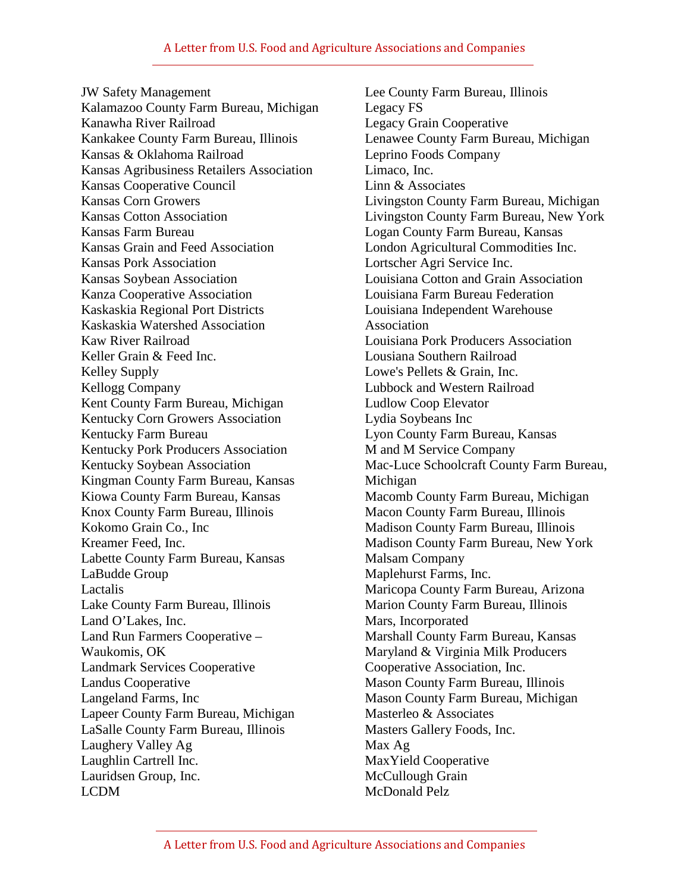JW Safety Management Kalamazoo County Farm Bureau, Michigan Kanawha River Railroad Kankakee County Farm Bureau, Illinois Kansas & Oklahoma Railroad Kansas Agribusiness Retailers Association Kansas Cooperative Council Kansas Corn Growers Kansas Cotton Association Kansas Farm Bureau Kansas Grain and Feed Association Kansas Pork Association Kansas Soybean Association Kanza Cooperative Association Kaskaskia Regional Port Districts Kaskaskia Watershed Association Kaw River Railroad Keller Grain & Feed Inc. Kelley Supply Kellogg Company Kent County Farm Bureau, Michigan Kentucky Corn Growers Association Kentucky Farm Bureau Kentucky Pork Producers Association Kentucky Soybean Association Kingman County Farm Bureau, Kansas Kiowa County Farm Bureau, Kansas Knox County Farm Bureau, Illinois Kokomo Grain Co., Inc Kreamer Feed, Inc. Labette County Farm Bureau, Kansas LaBudde Group Lactalis Lake County Farm Bureau, Illinois Land O'Lakes, Inc. Land Run Farmers Cooperative – Waukomis, OK Landmark Services Cooperative Landus Cooperative Langeland Farms, Inc Lapeer County Farm Bureau, Michigan LaSalle County Farm Bureau, Illinois Laughery Valley Ag Laughlin Cartrell Inc. Lauridsen Group, Inc. LCDM

Lee County Farm Bureau, Illinois Legacy FS Legacy Grain Cooperative Lenawee County Farm Bureau, Michigan Leprino Foods Company Limaco, Inc. Linn & Associates Livingston County Farm Bureau, Michigan Livingston County Farm Bureau, New York Logan County Farm Bureau, Kansas London Agricultural Commodities Inc. Lortscher Agri Service Inc. Louisiana Cotton and Grain Association Louisiana Farm Bureau Federation Louisiana Independent Warehouse Association Louisiana Pork Producers Association Lousiana Southern Railroad Lowe's Pellets & Grain, Inc. Lubbock and Western Railroad Ludlow Coop Elevator Lydia Soybeans Inc Lyon County Farm Bureau, Kansas M and M Service Company Mac-Luce Schoolcraft County Farm Bureau, Michigan Macomb County Farm Bureau, Michigan Macon County Farm Bureau, Illinois Madison County Farm Bureau, Illinois Madison County Farm Bureau, New York Malsam Company Maplehurst Farms, Inc. Maricopa County Farm Bureau, Arizona Marion County Farm Bureau, Illinois Mars, Incorporated Marshall County Farm Bureau, Kansas Maryland & Virginia Milk Producers Cooperative Association, Inc. Mason County Farm Bureau, Illinois Mason County Farm Bureau, Michigan Masterleo & Associates Masters Gallery Foods, Inc. Max Ag MaxYield Cooperative McCullough Grain McDonald Pelz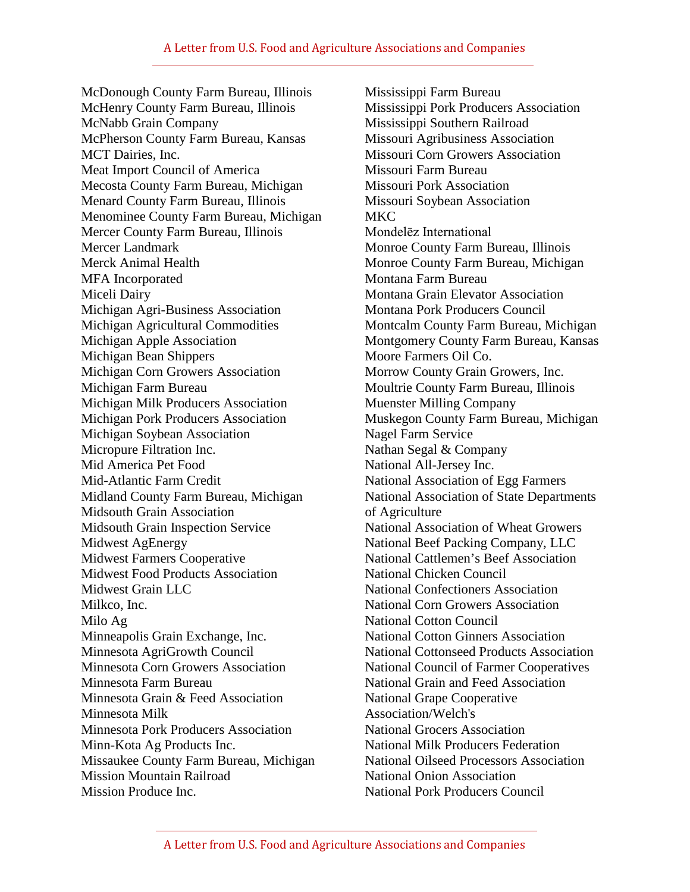McDonough County Farm Bureau, Illinois McHenry County Farm Bureau, Illinois McNabb Grain Company McPherson County Farm Bureau, Kansas MCT Dairies, Inc. Meat Import Council of America Mecosta County Farm Bureau, Michigan Menard County Farm Bureau, Illinois Menominee County Farm Bureau, Michigan Mercer County Farm Bureau, Illinois Mercer Landmark Merck Animal Health MFA Incorporated Miceli Dairy Michigan Agri-Business Association Michigan Agricultural Commodities Michigan Apple Association Michigan Bean Shippers Michigan Corn Growers Association Michigan Farm Bureau Michigan Milk Producers Association Michigan Pork Producers Association Michigan Soybean Association Micropure Filtration Inc. Mid America Pet Food Mid-Atlantic Farm Credit Midland County Farm Bureau, Michigan Midsouth Grain Association Midsouth Grain Inspection Service Midwest AgEnergy Midwest Farmers Cooperative Midwest Food Products Association Midwest Grain LLC Milkco, Inc. Milo Ag Minneapolis Grain Exchange, Inc. Minnesota AgriGrowth Council Minnesota Corn Growers Association Minnesota Farm Bureau Minnesota Grain & Feed Association Minnesota Milk Minnesota Pork Producers Association Minn-Kota Ag Products Inc. Missaukee County Farm Bureau, Michigan Mission Mountain Railroad Mission Produce Inc.

Mississippi Farm Bureau Mississippi Pork Producers Association Mississippi Southern Railroad Missouri Agribusiness Association Missouri Corn Growers Association Missouri Farm Bureau Missouri Pork Association Missouri Soybean Association MKC Mondelēz International Monroe County Farm Bureau, Illinois Monroe County Farm Bureau, Michigan Montana Farm Bureau Montana Grain Elevator Association Montana Pork Producers Council Montcalm County Farm Bureau, Michigan Montgomery County Farm Bureau, Kansas Moore Farmers Oil Co. Morrow County Grain Growers, Inc. Moultrie County Farm Bureau, Illinois Muenster Milling Company Muskegon County Farm Bureau, Michigan Nagel Farm Service Nathan Segal & Company National All-Jersey Inc. National Association of Egg Farmers National Association of State Departments of Agriculture National Association of Wheat Growers National Beef Packing Company, LLC National Cattlemen's Beef Association National Chicken Council National Confectioners Association National Corn Growers Association National Cotton Council National Cotton Ginners Association National Cottonseed Products Association National Council of Farmer Cooperatives National Grain and Feed Association National Grape Cooperative Association/Welch's National Grocers Association National Milk Producers Federation National Oilseed Processors Association National Onion Association National Pork Producers Council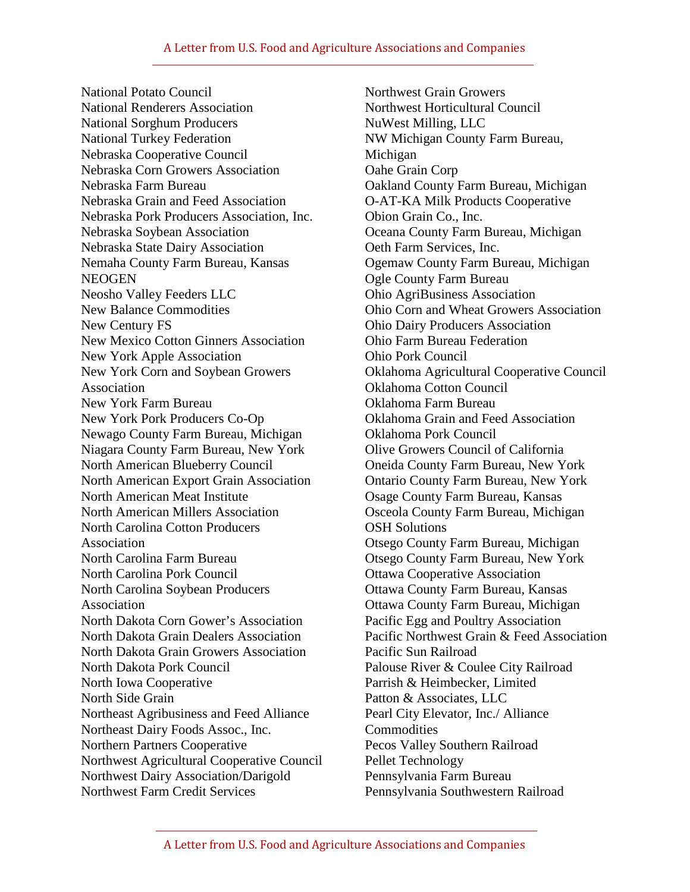## A Letter from U.S. Food and Agriculture Associations and Companies

National Potato Council National Renderers Association National Sorghum Producers National Turkey Federation Nebraska Cooperative Council Nebraska Corn Growers Association Nebraska Farm Bureau Nebraska Grain and Feed Association Nebraska Pork Producers Association, Inc. Nebraska Soybean Association Nebraska State Dairy Association Nemaha County Farm Bureau, Kansas **NEOGEN** Neosho Valley Feeders LLC New Balance Commodities New Century FS New Mexico Cotton Ginners Association New York Apple Association New York Corn and Soybean Growers Association New York Farm Bureau New York Pork Producers Co-Op Newago County Farm Bureau, Michigan Niagara County Farm Bureau, New York North American Blueberry Council North American Export Grain Association North American Meat Institute North American Millers Association North Carolina Cotton Producers Association North Carolina Farm Bureau North Carolina Pork Council North Carolina Soybean Producers Association North Dakota Corn Gower's Association North Dakota Grain Dealers Association North Dakota Grain Growers Association North Dakota Pork Council North Iowa Cooperative North Side Grain Northeast Agribusiness and Feed Alliance Northeast Dairy Foods Assoc., Inc. Northern Partners Cooperative Northwest Agricultural Cooperative Council Northwest Dairy Association/Darigold Northwest Farm Credit Services

Northwest Grain Growers Northwest Horticultural Council NuWest Milling, LLC NW Michigan County Farm Bureau, Michigan Oahe Grain Corp Oakland County Farm Bureau, Michigan O-AT-KA Milk Products Cooperative Obion Grain Co., Inc. Oceana County Farm Bureau, Michigan Oeth Farm Services, Inc. Ogemaw County Farm Bureau, Michigan Ogle County Farm Bureau Ohio AgriBusiness Association Ohio Corn and Wheat Growers Association Ohio Dairy Producers Association Ohio Farm Bureau Federation Ohio Pork Council Oklahoma Agricultural Cooperative Council Oklahoma Cotton Council Oklahoma Farm Bureau Oklahoma Grain and Feed Association Oklahoma Pork Council Olive Growers Council of California Oneida County Farm Bureau, New York Ontario County Farm Bureau, New York Osage County Farm Bureau, Kansas Osceola County Farm Bureau, Michigan OSH Solutions Otsego County Farm Bureau, Michigan Otsego County Farm Bureau, New York Ottawa Cooperative Association Ottawa County Farm Bureau, Kansas Ottawa County Farm Bureau, Michigan Pacific Egg and Poultry Association Pacific Northwest Grain & Feed Association Pacific Sun Railroad Palouse River & Coulee City Railroad Parrish & Heimbecker, Limited Patton & Associates, LLC Pearl City Elevator, Inc./ Alliance **Commodities** Pecos Valley Southern Railroad Pellet Technology Pennsylvania Farm Bureau Pennsylvania Southwestern Railroad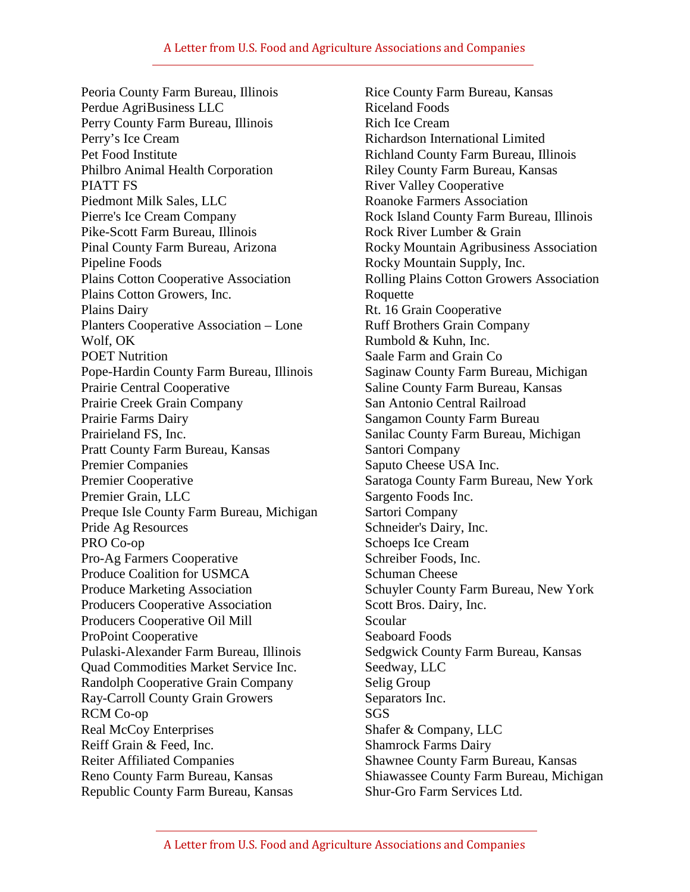Peoria County Farm Bureau, Illinois Perdue AgriBusiness LLC Perry County Farm Bureau, Illinois Perry's Ice Cream Pet Food Institute Philbro Animal Health Corporation PIATT FS Piedmont Milk Sales, LLC Pierre's Ice Cream Company Pike-Scott Farm Bureau, Illinois Pinal County Farm Bureau, Arizona Pipeline Foods Plains Cotton Cooperative Association Plains Cotton Growers, Inc. Plains Dairy Planters Cooperative Association – Lone Wolf, OK POET Nutrition Pope-Hardin County Farm Bureau, Illinois Prairie Central Cooperative Prairie Creek Grain Company Prairie Farms Dairy Prairieland FS, Inc. Pratt County Farm Bureau, Kansas Premier Companies Premier Cooperative Premier Grain, LLC Preque Isle County Farm Bureau, Michigan Pride Ag Resources PRO Co-op Pro-Ag Farmers Cooperative Produce Coalition for USMCA Produce Marketing Association Producers Cooperative Association Producers Cooperative Oil Mill ProPoint Cooperative Pulaski-Alexander Farm Bureau, Illinois Quad Commodities Market Service Inc. Randolph Cooperative Grain Company Ray-Carroll County Grain Growers RCM Co-op Real McCoy Enterprises Reiff Grain & Feed, Inc. Reiter Affiliated Companies Reno County Farm Bureau, Kansas Republic County Farm Bureau, Kansas

Rice County Farm Bureau, Kansas Riceland Foods Rich Ice Cream Richardson International Limited Richland County Farm Bureau, Illinois Riley County Farm Bureau, Kansas River Valley Cooperative Roanoke Farmers Association Rock Island County Farm Bureau, Illinois Rock River Lumber & Grain Rocky Mountain Agribusiness Association Rocky Mountain Supply, Inc. Rolling Plains Cotton Growers Association Roquette Rt. 16 Grain Cooperative Ruff Brothers Grain Company Rumbold & Kuhn, Inc. Saale Farm and Grain Co Saginaw County Farm Bureau, Michigan Saline County Farm Bureau, Kansas San Antonio Central Railroad Sangamon County Farm Bureau Sanilac County Farm Bureau, Michigan Santori Company Saputo Cheese USA Inc. Saratoga County Farm Bureau, New York Sargento Foods Inc. Sartori Company Schneider's Dairy, Inc. Schoeps Ice Cream Schreiber Foods, Inc. Schuman Cheese Schuyler County Farm Bureau, New York Scott Bros. Dairy, Inc. Scoular Seaboard Foods Sedgwick County Farm Bureau, Kansas Seedway, LLC Selig Group Separators Inc. SGS Shafer & Company, LLC Shamrock Farms Dairy Shawnee County Farm Bureau, Kansas Shiawassee County Farm Bureau, Michigan Shur-Gro Farm Services Ltd.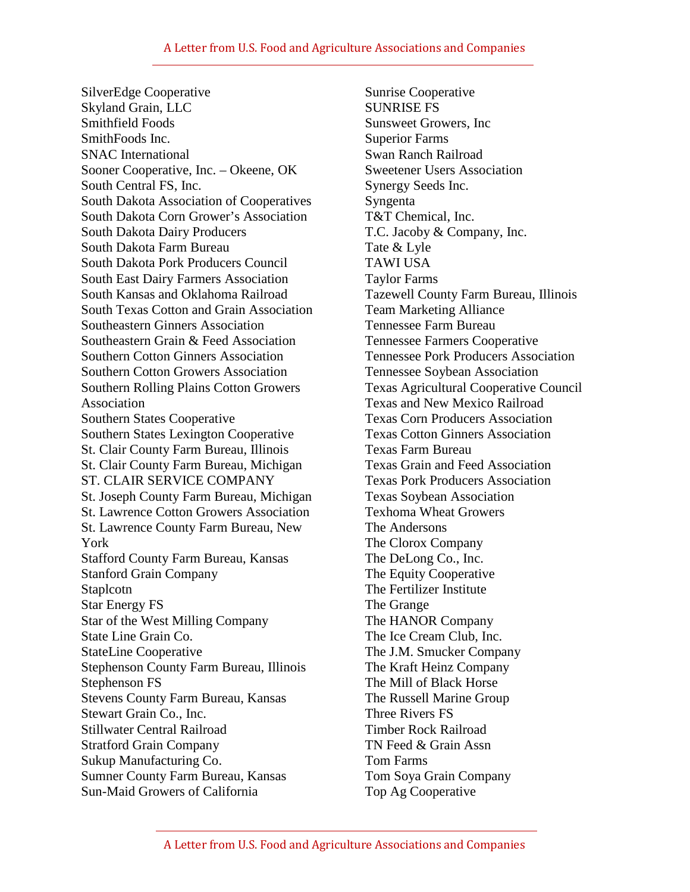SilverEdge Cooperative Skyland Grain, LLC Smithfield Foods SmithFoods Inc. SNAC International Sooner Cooperative, Inc. – Okeene, OK South Central FS, Inc. South Dakota Association of Cooperatives South Dakota Corn Grower's Association South Dakota Dairy Producers South Dakota Farm Bureau South Dakota Pork Producers Council South East Dairy Farmers Association South Kansas and Oklahoma Railroad South Texas Cotton and Grain Association Southeastern Ginners Association Southeastern Grain & Feed Association Southern Cotton Ginners Association Southern Cotton Growers Association Southern Rolling Plains Cotton Growers Association Southern States Cooperative Southern States Lexington Cooperative St. Clair County Farm Bureau, Illinois St. Clair County Farm Bureau, Michigan ST. CLAIR SERVICE COMPANY St. Joseph County Farm Bureau, Michigan St. Lawrence Cotton Growers Association St. Lawrence County Farm Bureau, New York Stafford County Farm Bureau, Kansas Stanford Grain Company Staplcotn Star Energy FS Star of the West Milling Company State Line Grain Co. StateLine Cooperative Stephenson County Farm Bureau, Illinois Stephenson FS Stevens County Farm Bureau, Kansas Stewart Grain Co., Inc. Stillwater Central Railroad Stratford Grain Company Sukup Manufacturing Co. Sumner County Farm Bureau, Kansas Sun-Maid Growers of California

Sunrise Cooperative SUNRISE FS Sunsweet Growers, Inc Superior Farms Swan Ranch Railroad Sweetener Users Association Synergy Seeds Inc. Syngenta T&T Chemical, Inc. T.C. Jacoby & Company, Inc. Tate & Lyle TAWI USA Taylor Farms Tazewell County Farm Bureau, Illinois Team Marketing Alliance Tennessee Farm Bureau Tennessee Farmers Cooperative Tennessee Pork Producers Association Tennessee Soybean Association Texas Agricultural Cooperative Council Texas and New Mexico Railroad Texas Corn Producers Association Texas Cotton Ginners Association Texas Farm Bureau Texas Grain and Feed Association Texas Pork Producers Association Texas Soybean Association Texhoma Wheat Growers The Andersons The Clorox Company The DeLong Co., Inc. The Equity Cooperative The Fertilizer Institute The Grange The HANOR Company The Ice Cream Club, Inc. The J.M. Smucker Company The Kraft Heinz Company The Mill of Black Horse The Russell Marine Group Three Rivers FS Timber Rock Railroad TN Feed & Grain Assn Tom Farms Tom Soya Grain Company Top Ag Cooperative